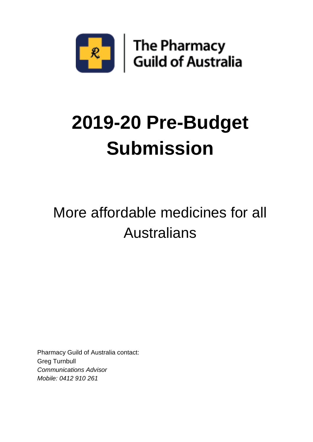

# **2019-20 Pre-Budget Submission**

## More affordable medicines for all Australians

Pharmacy Guild of Australia contact: Greg Turnbull *Communications Advisor Mobile: 0412 910 261*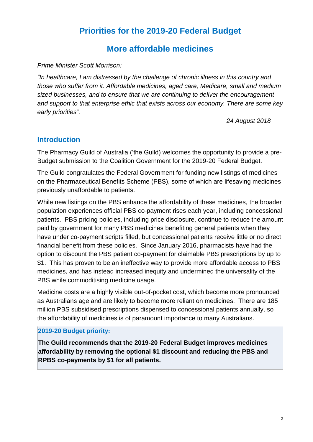#### **Priorities for the 2019-20 Federal Budget**

#### **More affordable medicines**

#### *Prime Minister Scott Morrison:*

*"In healthcare, I am distressed by the challenge of chronic illness in this country and those who suffer from it. Affordable medicines, aged care, Medicare, small and medium sized businesses, and to ensure that we are continuing to deliver the encouragement and support to that enterprise ethic that exists across our economy. There are some key early priorities".*

*24 August 2018*

#### **Introduction**

The Pharmacy Guild of Australia ('the Guild) welcomes the opportunity to provide a pre-Budget submission to the Coalition Government for the 2019-20 Federal Budget.

The Guild congratulates the Federal Government for funding new listings of medicines on the Pharmaceutical Benefits Scheme (PBS), some of which are lifesaving medicines previously unaffordable to patients.

While new listings on the PBS enhance the affordability of these medicines, the broader population experiences official PBS co-payment rises each year, including concessional patients. PBS pricing policies, including price disclosure, continue to reduce the amount paid by government for many PBS medicines benefiting general patients when they have under co-payment scripts filled, but concessional patients receive little or no direct financial benefit from these policies. Since January 2016, pharmacists have had the option to discount the PBS patient co-payment for claimable PBS prescriptions by up to \$1. This has proven to be an ineffective way to provide more affordable access to PBS medicines, and has instead increased inequity and undermined the universality of the PBS while commoditising medicine usage.

Medicine costs are a highly visible out-of-pocket cost, which become more pronounced as Australians age and are likely to become more reliant on medicines. There are 185 million PBS subsidised prescriptions dispensed to concessional patients annually, so the affordability of medicines is of paramount importance to many Australians.

#### **2019-20 Budget priority:**

**The Guild recommends that the 2019-20 Federal Budget improves medicines affordability by removing the optional \$1 discount and reducing the PBS and RPBS co-payments by \$1 for all patients.**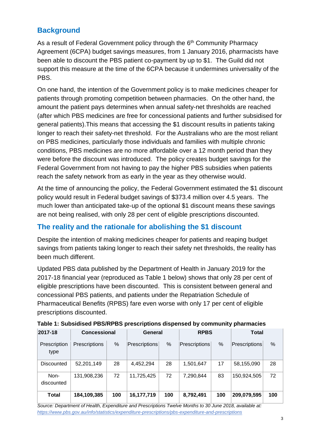#### **Background**

As a result of Federal Government policy through the 6<sup>th</sup> Community Pharmacy Agreement (6CPA) budget savings measures, from 1 January 2016, pharmacists have been able to discount the PBS patient co-payment by up to \$1. The Guild did not support this measure at the time of the 6CPA because it undermines universality of the PBS.

On one hand, the intention of the Government policy is to make medicines cheaper for patients through promoting competition between pharmacies. On the other hand, the amount the patient pays determines when annual safety-net thresholds are reached (after which PBS medicines are free for concessional patients and further subsidised for general patients).This means that accessing the \$1 discount results in patients taking longer to reach their safety-net threshold. For the Australians who are the most reliant on PBS medicines, particularly those individuals and families with multiple chronic conditions, PBS medicines are no more affordable over a 12 month period than they were before the discount was introduced. The policy creates budget savings for the Federal Government from not having to pay the higher PBS subsidies when patients reach the safety network from as early in the year as they otherwise would.

At the time of announcing the policy, the Federal Government estimated the \$1 discount policy would result in Federal budget savings of \$373.4 million over 4.5 years. The much lower than anticipated take-up of the optional \$1 discount means these savings are not being realised, with only 28 per cent of eligible prescriptions discounted.

#### **The reality and the rationale for abolishing the \$1 discount**

Despite the intention of making medicines cheaper for patients and reaping budget savings from patients taking longer to reach their safety net thresholds, the reality has been much different.

Updated PBS data published by the Department of Health in January 2019 for the 2017-18 financial year (reproduced as Table 1 below) shows that only 28 per cent of eligible prescriptions have been discounted. This is consistent between general and concessional PBS patients, and patients under the Repatriation Schedule of Pharmaceutical Benefits (RPBS) fare even worse with only 17 per cent of eligible prescriptions discounted.

|                      |                     |      |                      |     |               |      | - -           |     |
|----------------------|---------------------|------|----------------------|-----|---------------|------|---------------|-----|
| 2017-18              | <b>Concessional</b> |      | General              |     | <b>RPBS</b>   |      | <b>Total</b>  |     |
| Prescription<br>type | Prescriptions       | $\%$ | <b>Prescriptions</b> | %   | Prescriptions | $\%$ | Prescriptions | %   |
| Discounted           | 52,201,149          | 28   | 4,452,294            | 28  | 1,501,647     | 17   | 58,155,090    | 28  |
| Non-<br>discounted   | 131,908,236         | 72   | 11,725,425           | 72  | 7,290,844     | 83   | 150,924,505   | 72  |
| <b>Total</b>         | 184,109,385         | 100  | 16,177,719           | 100 | 8,792,491     | 100  | 209,079,595   | 100 |

**Table 1: Subsidised PBS/RPBS prescriptions dispensed by community pharmacies** 

*Source: Department of Health, Expenditure and Prescriptions Twelve Months to 30 June 2018, available at: <https://www.pbs.gov.au/info/statistics/expenditure-prescriptions/pbs-expenditure-and-prescriptions>*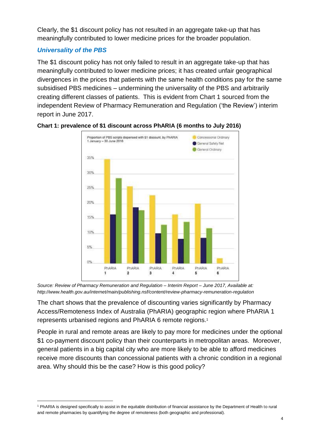Clearly, the \$1 discount policy has not resulted in an aggregate take-up that has meaningfully contributed to lower medicine prices for the broader population.

#### *Universality of the PBS*

l

The \$1 discount policy has not only failed to result in an aggregate take-up that has meaningfully contributed to lower medicine prices; it has created unfair geographical divergences in the prices that patients with the same health conditions pay for the same subsidised PBS medicines – undermining the universality of the PBS and arbitrarily creating different classes of patients. This is evident from Chart 1 sourced from the independent Review of Pharmacy Remuneration and Regulation ('the Review') interim report in June 2017.





*Source: Review of Pharmacy Remuneration and Regulation – Interim Report – June 2017, Available at: http://www.health.gov.au/internet/main/publishing.nsf/content/review-pharmacy-remuneration-regulation*

The chart shows that the prevalence of discounting varies significantly by Pharmacy Access/Remoteness Index of Australia (PhARIA) geographic region where PhARIA 1 represents urbanised regions and PhARIA 6 remote regions.<sup>1</sup>

People in rural and remote areas are likely to pay more for medicines under the optional \$1 co-payment discount policy than their counterparts in metropolitan areas. Moreover, general patients in a big capital city who are more likely to be able to afford medicines receive more discounts than concessional patients with a chronic condition in a regional area. Why should this be the case? How is this good policy?

<sup>&</sup>lt;sup>1</sup> PhARIA is designed specifically to assist in the equitable distribution of financial assistance by the Department of Health to rural and remote pharmacies by quantifying the degree of remoteness (both geographic and professional).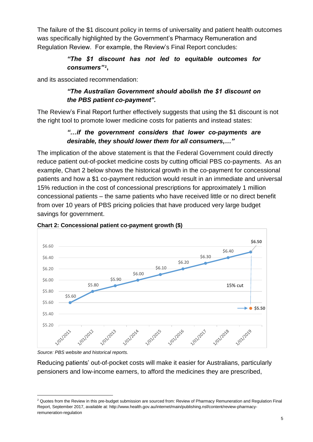The failure of the \$1 discount policy in terms of universality and patient health outcomes was specifically highlighted by the Government's Pharmacy Remuneration and Regulation Review. For example, the Review's Final Report concludes:

#### *"The \$1 discount has not led to equitable outcomes for*  consumers"<sup>2</sup>,

and its associated recommendation:

#### *"The Australian Government should abolish the \$1 discount on the PBS patient co-payment".*

The Review's Final Report further effectively suggests that using the \$1 discount is not the right tool to promote lower medicine costs for patients and instead states:

#### *"…if the government considers that lower co-payments are desirable, they should lower them for all consumers,…"*

The implication of the above statement is that the Federal Government could directly reduce patient out-of-pocket medicine costs by cutting official PBS co-payments. As an example, Chart 2 below shows the historical growth in the co-payment for concessional patients and how a \$1 co-payment reduction would result in an immediate and universal 15% reduction in the cost of concessional prescriptions for approximately 1 million concessional patients – the same patients who have received little or no direct benefit from over 10 years of PBS pricing policies that have produced very large budget savings for government.





*Source: PBS website and historical reports.*

l

Reducing patients' out-of-pocket costs will make it easier for Australians, particularly pensioners and low-income earners, to afford the medicines they are prescribed,

<sup>&</sup>lt;sup>2</sup> Quotes from the Review in this pre-budget submission are sourced from: Review of Pharmacy Remuneration and Regulation Final Report, September 2017, available at: http://www.health.gov.au/internet/main/publishing.nsf/content/review-pharmacyremuneration-regulation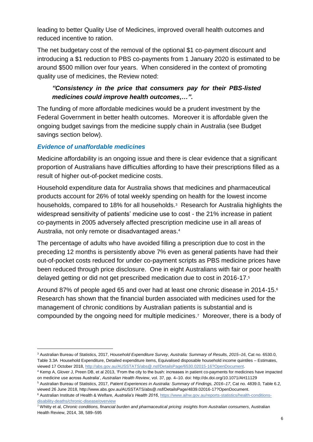leading to better Quality Use of Medicines, improved overall health outcomes and reduced incentive to ration.

The net budgetary cost of the removal of the optional \$1 co-payment discount and introducing a \$1 reduction to PBS co-payments from 1 January 2020 is estimated to be around \$500 million over four years. When considered in the context of promoting quality use of medicines, the Review noted:

#### *"Consistency in the price that consumers pay for their PBS-listed medicines could improve health outcomes,…".*

The funding of more affordable medicines would be a prudent investment by the Federal Government in better health outcomes. Moreover it is affordable given the ongoing budget savings from the medicine supply chain in Australia (see Budget savings section below).

#### *Evidence of unaffordable medicines*

l

Medicine affordability is an ongoing issue and there is clear evidence that a significant proportion of Australians have difficulties affording to have their prescriptions filled as a result of higher out-of-pocket medicine costs.

Household expenditure data for Australia shows that medicines and pharmaceutical products account for 26% of total weekly spending on health for the lowest income households, compared to 18% for all households.<sup>3</sup> Research for Australia highlights the widespread sensitivity of patients' medicine use to cost - the 21% increase in patient co-payments in 2005 adversely affected prescription medicine use in all areas of Australia, not only remote or disadvantaged areas.<sup>4</sup>

The percentage of adults who have avoided filling a prescription due to cost in the preceding 12 months is persistently above 7% even as general patients have had their out-of-pocket costs reduced for under co-payment scripts as PBS medicine prices have been reduced through price disclosure. One in eight Australians with fair or poor health delayed getting or did not get prescribed medication due to cost in 2016-17.<sup>5</sup>

Around 87% of people aged 65 and over had at least one chronic disease in 2014-15. 6 Research has shown that the financial burden associated with medicines used for the management of chronic conditions by Australian patients is substantial and is compounded by the ongoing need for multiple medicines. 7 Moreover, there is a body of

<sup>3</sup> Australian Bureau of Statistics, 2017, *Household Expenditure Survey, Australia: Summary of Results, 2015–16*, Cat no. 6530.0, Table 3.3A Household Expenditure, Detailed expenditure items, Equivalised disposable household income quintiles – Estimates, viewed 17 October 2018, [http://abs.gov.au/AUSSTATS/abs@.nsf/DetailsPage/6530.02015-16?OpenDocument.](http://abs.gov.au/AUSSTATS/abs@.nsf/DetailsPage/6530.02015-16?OpenDocument)

<sup>4</sup> Kemp A, Glover J, Preen DB, et al 2013, 'From the city to the bush: increases in patient co-payments for medicines have impacted on medicine use across Australia', *Australian Health Review*, vol. 37, pp. 4–10. doi: http://dx.doi.org/10.1071/AH11129

<sup>5</sup> Australian Bureau of Statistics, 2017, *Patient Experiences in Australia: Summary of Findings, 2016–17*, Cat no. 4839.0, Table 6.2, viewed 26 June 2018, http://www.abs.gov.au/AUSSTATS/abs@.nsf/DetailsPage/4839.02016-17?OpenDocument.

<sup>6</sup> Australian Institute of Health & Welfare, *Australia's Health 2016*[, https://www.aihw.gov.au/reports-statistics/health-conditions](https://www.aihw.gov.au/reports-statistics/health-conditions-disability-deaths/chronic-disease/overview)[disability-deaths/chronic-disease/overview](https://www.aihw.gov.au/reports-statistics/health-conditions-disability-deaths/chronic-disease/overview)

<sup>7</sup> Whitty et al, *Chronic conditions, financial burden and pharmaceutical pricing: insights from Australian consumers*, Australian Health Review, 2014, 38, 589–595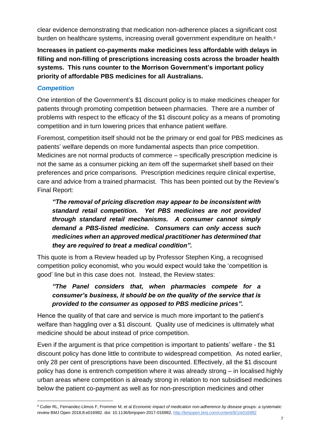clear evidence demonstrating that medication non-adherence places a significant cost burden on healthcare systems, increasing overall government expenditure on health.<sup>8</sup>

**Increases in patient co-payments make medicines less affordable with delays in filling and non-filling of prescriptions increasing costs across the broader health systems. This runs counter to the Morrison Government's important policy priority of affordable PBS medicines for all Australians.**

#### *Competition*

l

One intention of the Government's \$1 discount policy is to make medicines cheaper for patients through promoting competition between pharmacies. There are a number of problems with respect to the efficacy of the \$1 discount policy as a means of promoting competition and in turn lowering prices that enhance patient welfare.

Foremost, competition itself should not be the primary or end goal for PBS medicines as patients' welfare depends on more fundamental aspects than price competition. Medicines are not normal products of commerce – specifically prescription medicine is not the same as a consumer picking an item off the supermarket shelf based on their preferences and price comparisons. Prescription medicines require clinical expertise, care and advice from a trained pharmacist. This has been pointed out by the Review's Final Report:

*"The removal of pricing discretion may appear to be inconsistent with standard retail competition. Yet PBS medicines are not provided through standard retail mechanisms. A consumer cannot simply demand a PBS-listed medicine. Consumers can only access such medicines when an approved medical practitioner has determined that they are required to treat a medical condition".*

This quote is from a Review headed up by Professor Stephen King, a recognised competition policy economist, who you would expect would take the 'competition is good' line but in this case does not. Instead, the Review states:

#### *"The Panel considers that, when pharmacies compete for a consumer's business, it should be on the quality of the service that is provided to the consumer as opposed to PBS medicine prices".*

Hence the quality of that care and service is much more important to the patient's welfare than haggling over a \$1 discount. Quality use of medicines is ultimately what medicine should be about instead of price competition.

Even if the argument is that price competition is important to patients' welfare - the \$1 discount policy has done little to contribute to widespread competition. As noted earlier, only 28 per cent of prescriptions have been discounted. Effectively, all the \$1 discount policy has done is entrench competition where it was already strong – in localised highly urban areas where competition is already strong in relation to non subsidised medicines below the patient co-payment as well as for non-prescription medicines and other

<sup>8</sup> Cutler RL, Fernandez-Llimos F, Frommer M, et al *Economic impact of medication non-adherence by disease groups: a systematic review* BMJ Open 2018;8:e016982. doi: 10.1136/bmjopen-2017-016982,<http://bmjopen.bmj.com/content/8/1/e016982>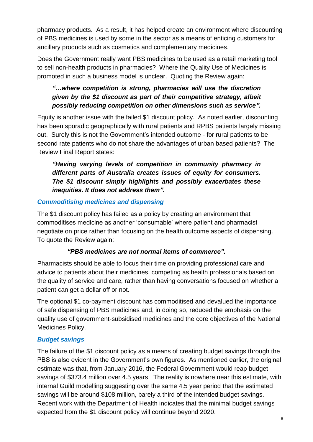pharmacy products. As a result, it has helped create an environment where discounting of PBS medicines is used by some in the sector as a means of enticing customers for ancillary products such as cosmetics and complementary medicines.

Does the Government really want PBS medicines to be used as a retail marketing tool to sell non-health products in pharmacies? Where the Quality Use of Medicines is promoted in such a business model is unclear. Quoting the Review again:

#### *"…where competition is strong, pharmacies will use the discretion given by the \$1 discount as part of their competitive strategy, albeit possibly reducing competition on other dimensions such as service".*

Equity is another issue with the failed \$1 discount policy. As noted earlier, discounting has been sporadic geographically with rural patients and RPBS patients largely missing out. Surely this is not the Government's intended outcome - for rural patients to be second rate patients who do not share the advantages of urban based patients? The Review Final Report states:

#### *"Having varying levels of competition in community pharmacy in different parts of Australia creates issues of equity for consumers. The \$1 discount simply highlights and possibly exacerbates these inequities. It does not address them".*

#### *Commoditising medicines and dispensing*

The \$1 discount policy has failed as a policy by creating an environment that commoditises medicine as another 'consumable' where patient and pharmacist negotiate on price rather than focusing on the health outcome aspects of dispensing. To quote the Review again:

#### *"PBS medicines are not normal items of commerce".*

Pharmacists should be able to focus their time on providing professional care and advice to patients about their medicines, competing as health professionals based on the quality of service and care, rather than having conversations focused on whether a patient can get a dollar off or not.

The optional \$1 co-payment discount has commoditised and devalued the importance of safe dispensing of PBS medicines and, in doing so, reduced the emphasis on the quality use of government-subsidised medicines and the core objectives of the National Medicines Policy.

#### *Budget savings*

The failure of the \$1 discount policy as a means of creating budget savings through the PBS is also evident in the Government's own figures. As mentioned earlier, the original estimate was that, from January 2016, the Federal Government would reap budget savings of \$373.4 million over 4.5 years. The reality is nowhere near this estimate, with internal Guild modelling suggesting over the same 4.5 year period that the estimated savings will be around \$108 million, barely a third of the intended budget savings. Recent work with the Department of Health indicates that the minimal budget savings expected from the \$1 discount policy will continue beyond 2020.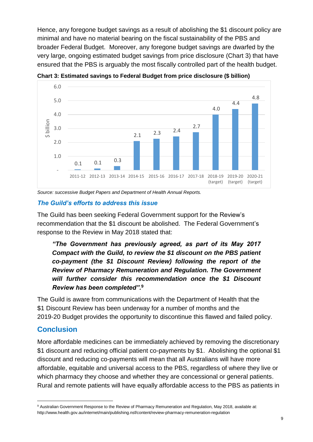Hence, any foregone budget savings as a result of abolishing the \$1 discount policy are minimal and have no material bearing on the fiscal sustainability of the PBS and broader Federal Budget. Moreover, any foregone budget savings are dwarfed by the very large, ongoing estimated budget savings from price disclosure (Chart 3) that have ensured that the PBS is arguably the most fiscally controlled part of the health budget.



**Chart 3: Estimated savings to Federal Budget from price disclosure (\$ billion)**

*Source: successive Budget Papers and Department of Health Annual Reports.*

#### *The Guild's efforts to address this issue*

The Guild has been seeking Federal Government support for the Review's recommendation that the \$1 discount be abolished. The Federal Government's response to the Review in May 2018 stated that:

*"The Government has previously agreed, as part of its May 2017 Compact with the Guild, to review the \$1 discount on the PBS patient co-payment (the \$1 Discount Review) following the report of the Review of Pharmacy Remuneration and Regulation. The Government will further consider this recommendation once the \$1 Discount Review has been completed".***<sup>9</sup>**

The Guild is aware from communications with the Department of Health that the \$1 Discount Review has been underway for a number of months and the 2019-20 Budget provides the opportunity to discontinue this flawed and failed policy.

#### **Conclusion**

l

More affordable medicines can be immediately achieved by removing the discretionary \$1 discount and reducing official patient co-payments by \$1. Abolishing the optional \$1 discount and reducing co-payments will mean that all Australians will have more affordable, equitable and universal access to the PBS, regardless of where they live or which pharmacy they choose and whether they are concessional or general patients. Rural and remote patients will have equally affordable access to the PBS as patients in

<sup>9</sup> Australian Government Response to the Review of Pharmacy Remuneration and Regulation, May 2018, available at: http://www.health.gov.au/internet/main/publishing.nsf/content/review-pharmacy-remuneration-regulation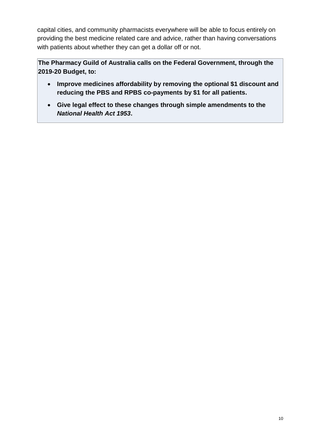capital cities, and community pharmacists everywhere will be able to focus entirely on providing the best medicine related care and advice, rather than having conversations with patients about whether they can get a dollar off or not.

**The Pharmacy Guild of Australia calls on the Federal Government, through the 2019-20 Budget, to:**

- **Improve medicines affordability by removing the optional \$1 discount and reducing the PBS and RPBS co-payments by \$1 for all patients.**
- **Give legal effect to these changes through simple amendments to the**  *National Health Act 1953***.**